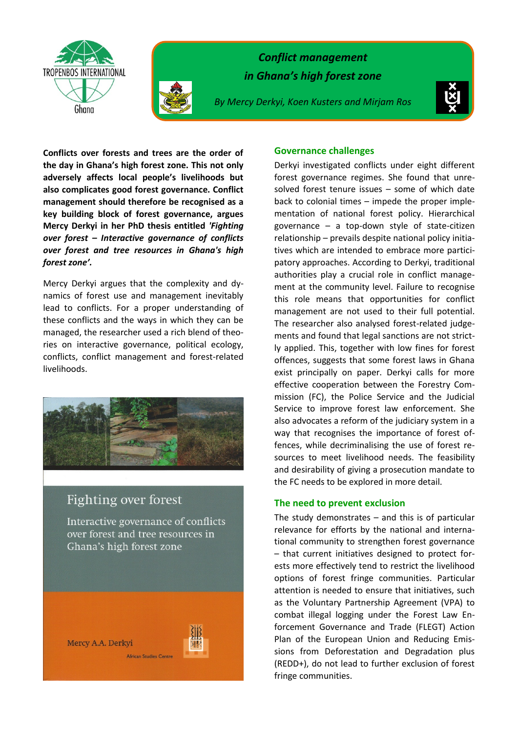



*Conflict management in Ghana's high forest zone* 

*By Mercy Derkyi, Koen Kusters and Mirjam Ros*



**Conflicts over forests and trees are the order of the day in Ghana's high forest zone. This not only adversely affects local people's livelihoods but also complicates good forest governance. Conflict management should therefore be recognised as a key building block of forest governance, argues Mercy Derkyi in her PhD thesis entitled** *'Fighting over forest – Interactive governance of conflicts over forest and tree resources in Ghana's high forest zone'.*

Mercy Derkyi argues that the complexity and dynamics of forest use and management inevitably lead to conflicts. For a proper understanding of these conflicts and the ways in which they can be managed, the researcher used a rich blend of theories on interactive governance, political ecology, conflicts, conflict management and forest-related livelihoods.



## Fighting over forest

Mercy A.A. Derkyi

Interactive governance of conflicts over forest and tree resources in Ghana's high forest zone

African Studies Centre



**Governance challenges**

Derkyi investigated conflicts under eight different forest governance regimes. She found that unresolved forest tenure issues – some of which date back to colonial times – impede the proper implementation of national forest policy. Hierarchical governance – a top-down style of state-citizen relationship – prevails despite national policy initiatives which are intended to embrace more participatory approaches. According to Derkyi, traditional authorities play a crucial role in conflict management at the community level. Failure to recognise this role means that opportunities for conflict management are not used to their full potential. The researcher also analysed forest-related judgements and found that legal sanctions are not strictly applied. This, together with low fines for forest offences, suggests that some forest laws in Ghana exist principally on paper. Derkyi calls for more effective cooperation between the Forestry Commission (FC), the Police Service and the Judicial Service to improve forest law enforcement. She also advocates a reform of the judiciary system in a way that recognises the importance of forest offences, while decriminalising the use of forest resources to meet livelihood needs. The feasibility and desirability of giving a prosecution mandate to the FC needs to be explored in more detail.

## **The need to prevent exclusion**

The study demonstrates  $-$  and this is of particular relevance for efforts by the national and international community to strengthen forest governance – that current initiatives designed to protect forests more effectively tend to restrict the livelihood options of forest fringe communities. Particular attention is needed to ensure that initiatives, such as the Voluntary Partnership Agreement (VPA) to combat illegal logging under the Forest Law Enforcement Governance and Trade (FLEGT) Action Plan of the European Union and Reducing Emissions from Deforestation and Degradation plus (REDD+), do not lead to further exclusion of forest fringe communities.